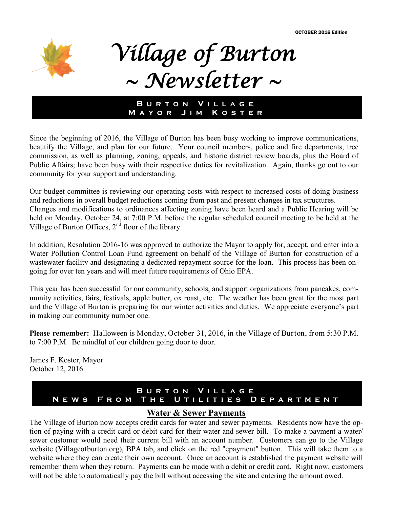OCTOBER 2016 Edition



# *Village of Burton ~ Newsletter ~*

## **BURTON VILLAGE M a y o r J i m K o s t e r**

Since the beginning of 2016, the Village of Burton has been busy working to improve communications, beautify the Village, and plan for our future. Your council members, police and fire departments, tree commission, as well as planning, zoning, appeals, and historic district review boards, plus the Board of Public Affairs; have been busy with their respective duties for revitalization. Again, thanks go out to our community for your support and understanding.

Our budget committee is reviewing our operating costs with respect to increased costs of doing business and reductions in overall budget reductions coming from past and present changes in tax structures. Changes and modifications to ordinances affecting zoning have been heard and a Public Hearing will be held on Monday, October 24, at 7:00 P.M. before the regular scheduled council meeting to be held at the Village of Burton Offices,  $2<sup>nd</sup>$  floor of the library.

In addition, Resolution 2016-16 was approved to authorize the Mayor to apply for, accept, and enter into a Water Pollution Control Loan Fund agreement on behalf of the Village of Burton for construction of a wastewater facility and designating a dedicated repayment source for the loan. This process has been ongoing for over ten years and will meet future requirements of Ohio EPA.

This year has been successful for our community, schools, and support organizations from pancakes, community activities, fairs, festivals, apple butter, ox roast, etc. The weather has been great for the most part and the Village of Burton is preparing for our winter activities and duties. We appreciate everyone's part in making our community number one.

**Please remember:** Halloween is Monday, October 31, 2016, in the Village of Burton, from 5:30 P.M. to 7:00 P.M. Be mindful of our children going door to door.

James F. Koster, Mayor October 12, 2016

## **B u r t o n V i l l a g e N E W S F R O M T H E U T I L I T I E S D E P A R T M E N T**

## **Water & Sewer Payments**

The Village of Burton now accepts credit cards for water and sewer payments. Residents now have the option of paying with a credit card or debit card for their water and sewer bill. To make a payment a water/ sewer customer would need their current bill with an account number. Customers can go to the Village website (Villageofburton.org), BPA tab, and click on the red "epayment" button. This will take them to a website where they can create their own account. Once an account is established the payment website will remember them when they return. Payments can be made with a debit or credit card. Right now, customers will not be able to automatically pay the bill without accessing the site and entering the amount owed.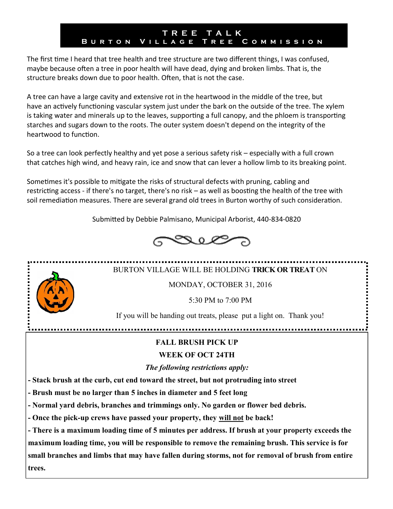## **T R E E T A L K B u r t o n V i l l a g e T r e e C o m m i s s i o n**

The first time I heard that tree health and tree structure are two different things, I was confused, maybe because often a tree in poor health will have dead, dying and broken limbs. That is, the structure breaks down due to poor health. Often, that is not the case.

A tree can have a large cavity and extensive rot in the heartwood in the middle of the tree, but have an actively functioning vascular system just under the bark on the outside of the tree. The xylem is taking water and minerals up to the leaves, supporting a full canopy, and the phloem is transporting starches and sugars down to the roots. The outer system doesn't depend on the integrity of the heartwood to function.

So a tree can look perfectly healthy and yet pose a serious safety risk – especially with a full crown that catches high wind, and heavy rain, ice and snow that can lever a hollow limb to its breaking point.

Sometimes it's possible to mitigate the risks of structural defects with pruning, cabling and restricting access - if there's no target, there's no risk – as well as boosting the health of the tree with soil remediation measures. There are several grand old trees in Burton worthy of such consideration.

Submitted by Debbie Palmisano, Municipal Arborist, 440-834-0820



# BURTON VILLAGE WILL BE HOLDING **TRICK OR TREAT** ON

MONDAY, OCTOBER 31, 2016

5:30 PM to 7:00 PM

If you will be handing out treats, please put a light on. Thank you!

**FALL BRUSH PICK UP** 

## **WEEK OF OCT 24TH**

*The following restrictions [apply:](http://www.villageofburton.org/#)* 

**- Stack brush at the curb, cut end toward the street, but not protruding into street** 

**- Brush must be no larger than 5 inches in diameter and 5 feet long**

**- Normal yard debris, branches and trimmings only. No garden or flower bed debris.**

**- Once the pick-up crews have passed your property, they will not be back!**

**- There is a maximum loading time of 5 minutes per address. If brush at your property exceeds the maximum loading time, you will be responsible to remove the remaining brush. This service is for small branches and limbs that may have fallen during storms, not for removal of brush from entire trees.**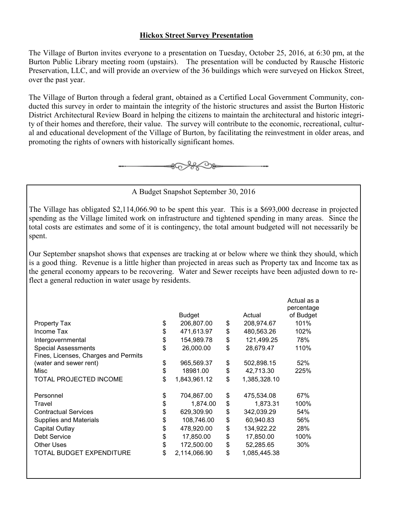### **Hickox Street Survey Presentation**

The Village of Burton invites everyone to a presentation on Tuesday, October 25, 2016, at 6:30 pm, at the Burton Public Library meeting room (upstairs). The presentation will be conducted by Rausche Historic Preservation, LLC, and will provide an overview of the 36 buildings which were surveyed on Hickox Street, over the past year.

The Village of Burton through a federal grant, obtained as a Certified Local Government Community, conducted this survey in order to maintain the integrity of the historic structures and assist the Burton Historic District Architectural Review Board in helping the citizens to maintain the architectural and historic integrity of their homes and therefore, their value. The survey will contribute to the economic, recreational, cultural and educational development of the Village of Burton, by facilitating the reinvestment in older areas, and promoting the rights of owners with historically significant homes.



A Budget Snapshot September 30, 2016

The Village has obligated \$2,114,066.90 to be spent this year. This is a \$693,000 decrease in projected spending as the Village limited work on infrastructure and tightened spending in many areas. Since the total costs are estimates and some of it is contingency, the total amount budgeted will not necessarily be spent.

Our September snapshot shows that expenses are tracking at or below where we think they should, which is a good thing. Revenue is a little higher than projected in areas such as Property tax and Income tax as the general economy appears to be recovering. Water and Sewer receipts have been adjusted down to reflect a general reduction in water usage by residents.

|                                      | <b>Budget</b>      | Actual             | Actual as a<br>percentage<br>of Budget |
|--------------------------------------|--------------------|--------------------|----------------------------------------|
| Property Tax                         | \$<br>206,807.00   | \$<br>208,974.67   | 101%                                   |
| Income Tax                           | \$<br>471,613.97   | \$<br>480,563.26   | 102%                                   |
| Intergovernmental                    | \$<br>154,989.78   | \$<br>121,499.25   | 78%                                    |
| <b>Special Assessments</b>           | \$<br>26,000.00    | \$<br>28,679.47    | 110%                                   |
| Fines, Licenses, Charges and Permits |                    |                    |                                        |
| (water and sewer rent)               | \$<br>965,569.37   | \$<br>502,898.15   | 52%                                    |
| Misc                                 | \$<br>18981.00     | \$<br>42,713.30    | 225%                                   |
| <b>TOTAL PROJECTED INCOME</b>        | \$<br>1,843,961.12 | \$<br>1,385,328.10 |                                        |
| Personnel                            | \$<br>704,867.00   | \$<br>475,534.08   | 67%                                    |
| Travel                               | \$<br>1,874.00     | \$<br>1,873.31     | 100%                                   |
| <b>Contractual Services</b>          | \$<br>629,309.90   | \$<br>342,039.29   | 54%                                    |
| <b>Supplies and Materials</b>        | \$<br>108,746.00   | \$<br>60,940.83    | 56%                                    |
| Capital Outlay                       | \$<br>478,920.00   | \$<br>134,922.22   | 28%                                    |
| <b>Debt Service</b>                  | \$<br>17,850.00    | \$<br>17,850.00    | 100%                                   |
| <b>Other Uses</b>                    | \$<br>172,500.00   | \$<br>52,285.65    | 30%                                    |
| <b>TOTAL BUDGET EXPENDITURE</b>      | \$<br>2,114,066.90 | \$<br>1,085,445.38 |                                        |